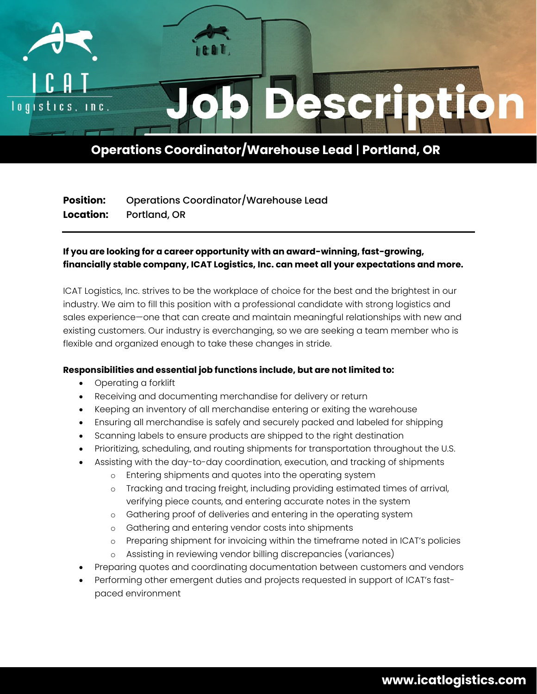

# **Operations Coordinator/Warehouse Lead** | **Portland, OR**

## **Position:** Operations Coordinator/Warehouse Lead **Location:** Portland, OR

### **If you are looking for a career opportunity with an award-winning, fast-growing, financially stable company, ICAT Logistics, Inc. can meet all your expectations and more.**

ICAT Logistics, Inc. strives to be the workplace of choice for the best and the brightest in our industry. We aim to fill this position with a professional candidate with strong logistics and sales experience—one that can create and maintain meaningful relationships with new and existing customers. Our industry is everchanging, so we are seeking a team member who is flexible and organized enough to take these changes in stride.

### **Responsibilities and essential job functions include, but are not limited to:**

- Operating a forklift
- Receiving and documenting merchandise for delivery or return
- Keeping an inventory of all merchandise entering or exiting the warehouse
- Ensuring all merchandise is safely and securely packed and labeled for shipping
- Scanning labels to ensure products are shipped to the right destination
- Prioritizing, scheduling, and routing shipments for transportation throughout the U.S.
- Assisting with the day-to-day coordination, execution, and tracking of shipments
	- o Entering shipments and quotes into the operating system
	- o Tracking and tracing freight, including providing estimated times of arrival, verifying piece counts, and entering accurate notes in the system
	- o Gathering proof of deliveries and entering in the operating system
	- o Gathering and entering vendor costs into shipments
	- o Preparing shipment for invoicing within the timeframe noted in ICAT's policies
	- o Assisting in reviewing vendor billing discrepancies (variances)
- Preparing quotes and coordinating documentation between customers and vendors
- Performing other emergent duties and projects requested in support of ICAT's fastpaced environment